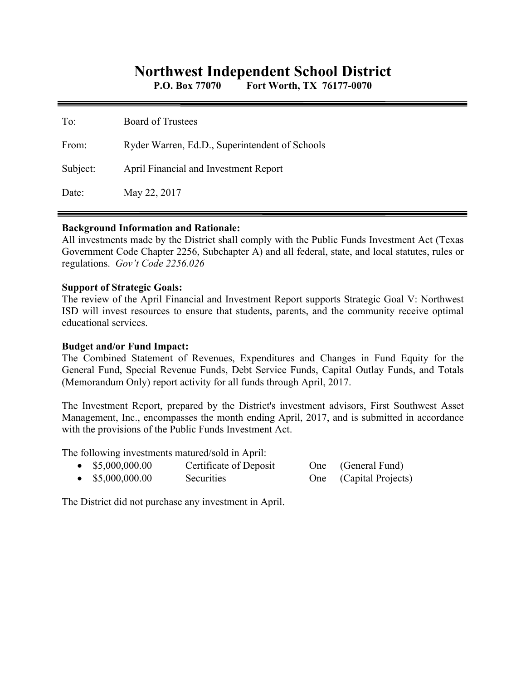# **Northwest Independent School District**

**P.O. Box 77070 Fort Worth, TX 76177-0070** 

| To:      | <b>Board of Trustees</b>                       |
|----------|------------------------------------------------|
| From:    | Ryder Warren, Ed.D., Superintendent of Schools |
| Subject: | April Financial and Investment Report          |
| Date:    | May 22, 2017                                   |

#### **Background Information and Rationale:**

All investments made by the District shall comply with the Public Funds Investment Act (Texas Government Code Chapter 2256, Subchapter A) and all federal, state, and local statutes, rules or regulations. *Gov't Code 2256.026* 

#### **Support of Strategic Goals:**

The review of the April Financial and Investment Report supports Strategic Goal V: Northwest ISD will invest resources to ensure that students, parents, and the community receive optimal educational services.

## **Budget and/or Fund Impact:**

The Combined Statement of Revenues, Expenditures and Changes in Fund Equity for the General Fund, Special Revenue Funds, Debt Service Funds, Capital Outlay Funds, and Totals (Memorandum Only) report activity for all funds through April, 2017.

The Investment Report, prepared by the District's investment advisors, First Southwest Asset Management, Inc., encompasses the month ending April, 2017, and is submitted in accordance with the provisions of the Public Funds Investment Act.

The following investments matured/sold in April:

| $\bullet$ \$5,000,000.00 | Certificate of Deposit | One (General Fund)     |
|--------------------------|------------------------|------------------------|
| \$5,000,000.00           | Securities             | One (Capital Projects) |

The District did not purchase any investment in April.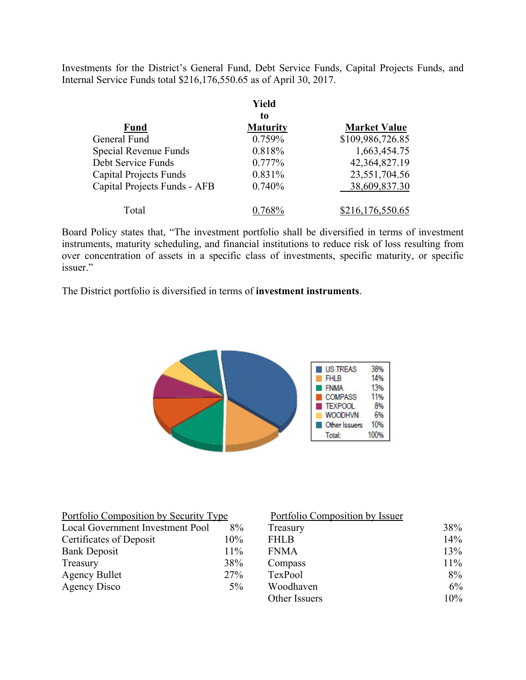Investments for the District's General Fund, Debt Service Funds, Capital Projects Funds, and Internal Service Funds total \$216,176,550.65 as of April 30, 2017.

|                               | Yield           |                     |
|-------------------------------|-----------------|---------------------|
|                               | to              |                     |
| <b>Fund</b>                   | <b>Maturity</b> | <b>Market Value</b> |
| General Fund                  | 0.759%          | \$109,986,726.85    |
| Special Revenue Funds         | 0.818%          | 1,663,454.75        |
| Debt Service Funds            | 0.777%          | 42,364,827.19       |
| <b>Capital Projects Funds</b> | 0.831%          | 23,551,704.56       |
| Capital Projects Funds - AFB  | 0.740%          | 38,609,837.30       |
| Total                         |                 | \$216,176,550.65    |

Board Policy states that, "The investment portfolio shall be diversified in terms of investment instruments, maturity scheduling, and financial institutions to reduce risk of loss resulting from over concentration of assets in a specific class of investments, specific maturity, or specific issuer."

The District portfolio is diversified in terms of **investment instruments**.



| Portfolio Composition by Security Type |       | Portfolio Composition by Issuer |        |
|----------------------------------------|-------|---------------------------------|--------|
| Local Government Investment Pool       | 8%    | Treasury                        | 38%    |
| Certificates of Deposit                | 10%   | <b>FHLB</b>                     | 14%    |
| <b>Bank Deposit</b>                    | 11%   | <b>FNMA</b>                     | 13%    |
| Treasury                               | 38%   | Compass                         | $11\%$ |
| <b>Agency Bullet</b>                   | 27%   | TexPool                         | $8\%$  |
| Agency Disco                           | $5\%$ | Woodhaven                       | 6%     |
|                                        |       | Other Issuers                   | 10%    |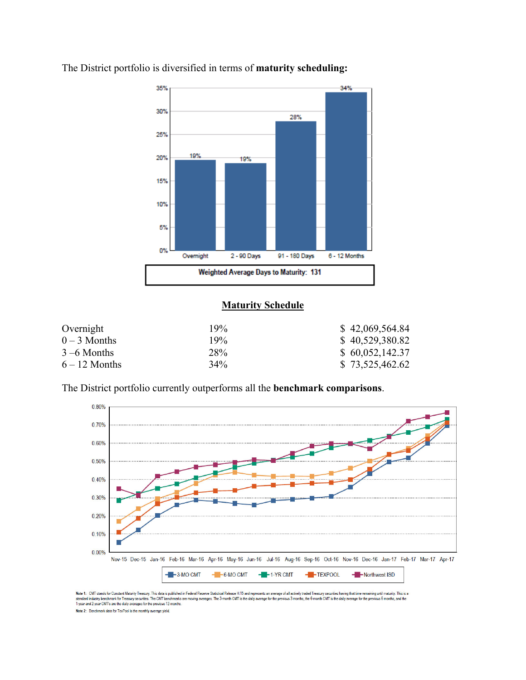

The District portfolio is diversified in terms of **maturity scheduling:** 

# **Maturity Schedule**

| Overnight       | 19%    | \$42,069,564.84 |
|-----------------|--------|-----------------|
| $0-3$ Months    | 19%    | \$40,529,380.82 |
| $3 - 6$ Months  | 28%    | \$60,052,142.37 |
| $6 - 12$ Months | $34\%$ | \$73,525,462.62 |

The District portfolio currently outperforms all the **benchmark comparisons**.



Note 1: CMT stands for Constant Maturity Treasury. This data is published in Federal Resente Statistical Release H.15 and represents an average of all actively traded Treasury securities having that time remaining until ma Note 2: Benchmark data for TexPool is the monthly average yield.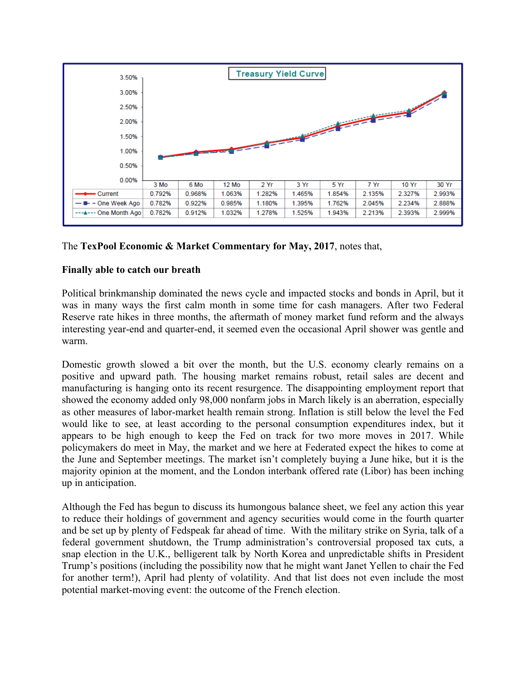

# The **TexPool Economic & Market Commentary for May, 2017**, notes that,

## **Finally able to catch our breath**

Political brinkmanship dominated the news cycle and impacted stocks and bonds in April, but it was in many ways the first calm month in some time for cash managers. After two Federal Reserve rate hikes in three months, the aftermath of money market fund reform and the always interesting year-end and quarter-end, it seemed even the occasional April shower was gentle and warm.

Domestic growth slowed a bit over the month, but the U.S. economy clearly remains on a positive and upward path. The housing market remains robust, retail sales are decent and manufacturing is hanging onto its recent resurgence. The disappointing employment report that showed the economy added only 98,000 nonfarm jobs in March likely is an aberration, especially as other measures of labor-market health remain strong. Inflation is still below the level the Fed would like to see, at least according to the personal consumption expenditures index, but it appears to be high enough to keep the Fed on track for two more moves in 2017. While policymakers do meet in May, the market and we here at Federated expect the hikes to come at the June and September meetings. The market isn't completely buying a June hike, but it is the majority opinion at the moment, and the London interbank offered rate (Libor) has been inching up in anticipation.

Although the Fed has begun to discuss its humongous balance sheet, we feel any action this year to reduce their holdings of government and agency securities would come in the fourth quarter and be set up by plenty of Fedspeak far ahead of time. With the military strike on Syria, talk of a federal government shutdown, the Trump administration's controversial proposed tax cuts, a snap election in the U.K., belligerent talk by North Korea and unpredictable shifts in President Trump's positions (including the possibility now that he might want Janet Yellen to chair the Fed for another term!), April had plenty of volatility. And that list does not even include the most potential market-moving event: the outcome of the French election.